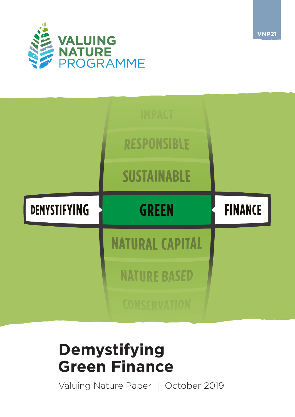

|                     | <b>IMPACT</b>          |                |
|---------------------|------------------------|----------------|
|                     | <b>RESPONSIBLE</b>     |                |
|                     | <b>SUSTAINABLE</b>     |                |
| <b>DEMYSTIFYING</b> | <b>GREEN</b>           | <b>FINANCE</b> |
|                     | <b>NATURAL CAPITAL</b> |                |
|                     | <b>NATURE BASED</b>    |                |
|                     | <b>CONSFRVATION</b>    |                |

# **Demystifying Green Finance**

Valuing Nature Paper | October 2019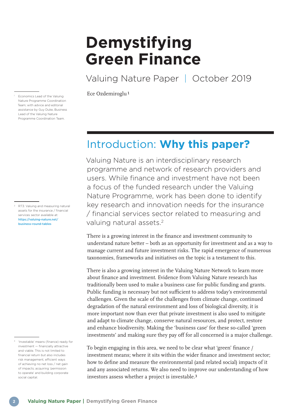# **Demystifying Green Finance**

Valuing Nature Paper | October 2019

 $\overline{\text{Ece Ozdemiroglu1}}$ <br>
Economics Lead of the Valuing<br>
Ece Ozdemiroglu<sup>1</sup>

# Introduction: **Why this paper?**

Valuing Nature is an interdisciplinary research programme and network of research providers and users. While finance and investment have not been a focus of the funded research under the Valuing Nature Programme, work has been done to identify key research and innovation needs for the insurance / financial services sector related to measuring and valuing natural assets.2

There is a growing interest in the finance and investment community to understand nature better – both as an opportunity for investment and as a way to manage current and future investment risks. The rapid emergence of numerous taxonomies, frameworks and initiatives on the topic is a testament to this.

There is also a growing interest in the Valuing Nature Network to learn more about finance and investment. Evidence from Valuing Nature research has traditionally been used to make a business case for public funding and grants. Public funding is necessary but not sufficient to address today's environmental challenges. Given the scale of the challenges from climate change, continued degradation of the natural environment and loss of biological diversity, it is more important now than ever that private investment is also used to mitigate and adapt to climate change, conserve natural resources, and protect, restore and enhance biodiversity. Making the 'business case' for these so-called 'green investments' and making sure they pay off for all concerned is a major challenge.

To begin engaging in this area, we need to be clear what 'green' finance / investment means; where it sits within the wider finance and investment sector; how to define and measure the environmental (and related social) impacts of it and any associated returns. We also need to improve our understanding of how investors assess whether a project is investable.3

Nature Programme Coordination Team; with advice and editorial assistance by Guy Duke, Business Lead of the Valuing Nature Programme Coordination Team.

[2 RT3: Valuing and measuring natural](https://valuing-nature.net/business-round-tables)  [assets for the insurance / financial](https://valuing-nature.net/business-round-tables)  [services sector available at:](https://valuing-nature.net/business-round-tables)  [https://valuing-nature.net/](https://valuing-nature.net/business-round-tables) [business-round-tables](https://valuing-nature.net/business-round-tables)

<sup>3 &#</sup>x27;Investable' means (finance) ready for investment — financially attractive and viable. This is not limited to financial return but also includes risk management, efficient ways of achieving no net loss / net gain of impacts; acquiring 'permission to operate' and building corporate social capital.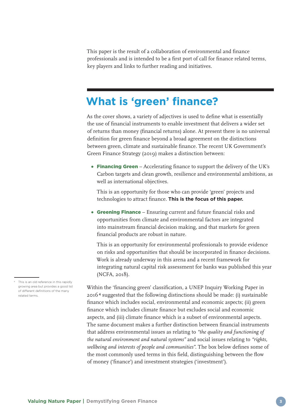This paper is the result of a collaboration of environmental and finance professionals and is intended to be a first port of call for finance related terms, key players and links to further reading and initiatives.

### **What is 'green' finance?**

As the cover shows, a variety of adjectives is used to define what is essentially the use of financial instruments to enable investment that delivers a wider set of returns than money (financial returns) alone. At present there is no universal definition for green finance beyond a broad agreement on the distinctions between green, climate and sustainable finance. The recent UK Government's Green Finance Strategy (2019) makes a distinction between:

• Financing Green – Accelerating finance to support the delivery of the UK's Carbon targets and clean growth, resilience and environmental ambitions, as well as international objectives.

 This is an opportunity for those who can provide 'green' projects and technologies to attract finance. **This is the focus of this paper.**

**Greening Finance** – Ensuring current and future financial risks and opportunities from climate and environmental factors are integrated into mainstream financial decision making, and that markets for green financial products are robust in nature.

 This is an opportunity for environmental professionals to provide evidence on risks and opportunities that should be incorporated in finance decisions. Work is already underway in this arena and a recent framework for integrating natural capital risk assessment for banks was published this year (NCFA, 2018).

Within the 'financing green' classification, a UNEP Inquiry Working Paper in 20164 suggested that the following distinctions should be made: (i) sustainable finance which includes social, environmental and economic aspects; (ii) green finance which includes climate finance but excludes social and economic aspects, and (iii) climate finance which is a subset of environmental aspects. The same document makes a further distinction between financial instruments that address environmental issues as relating to *"the quality and functioning of the natural environment and natural systems"* and social issues relating to *"rights, wellbeing and interests of people and communities".* The box below defines some of the most commonly used terms in this field, distinguishing between the flow of money ('finance') and investment strategies ('investment').

<sup>4</sup> This is an old reference in this rapidly growing area but provides a good list of different definitions of the many related terms.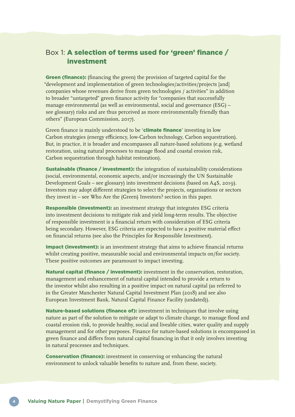### Box 1: A selection of terms used for 'green' finance / investment

Green (finance): (financing the green) the provision of targeted capital for the "development and implementation of green technologies/activities/projects [and] companies whose revenues derive from green technologies / activities" in addition to broader "untargeted" green finance activity for "companies that successfully manage environmental (as well as environmental, social and governance (ESG) – see glossary) risks and are thus perceived as more environmentally friendly than others" (European Commission, 2017).

Green finance is mainly understood to be '**climate finance**' investing in low Carbon strategies (energy efficiency, low-Carbon technology, Carbon sequestration). But, in practice, it is broader and encompasses all nature-based solutions (e.g. wetland restoration, using natural processes to manage flood and coastal erosion risk, Carbon sequestration through habitat restoration).

**Sustainable (finance / investment):** the integration of sustainability considerations (social, environmental, economic aspects, and/or increasingly the UN Sustainable Development Goals – see glossary) into investment decisions (based on A4S, 2019). Investors may adopt different strategies to select the projects, organisations or sectors they invest in – see Who Are the (Green) Investors? section in this paper.

Responsible (investment): an investment strategy that integrates ESG criteria into investment decisions to mitigate risk and yield long-term results. The objective of responsible investment is a financial return with consideration of ESG criteria being secondary. However, ESG criteria are expected to have a positive material effect on financial returns (see also the Principles for Responsible Investment).

Impact (investment): is an investment strategy that aims to achieve financial returns whilst creating positive, measurable social and environmental impacts on/for society. These positive outcomes are paramount to impact investing.

Natural capital (finance / investment): investment in the conservation, restoration, management and enhancement of natural capital intended to provide a return to the investor whilst also resulting in a positive impact on natural capital (as referred to in the Greater Manchester Natural Capital Investment Plan (2018) and see also European Investment Bank, Natural Capital Finance Facility (undated)).

Nature-based solutions (finance of): investment in techniques that involve using nature as part of the solution to mitigate or adapt to climate change, to manage flood and coastal erosion risk, to provide healthy, social and liveable cities, water quality and supply management and for other purposes. Finance for nature-based solutions is encompassed in green finance and differs from natural capital financing in that it only involves investing in natural processes and techniques.

Conservation (finance): investment in conserving or enhancing the natural environment to unlock valuable benefits to nature and, from these, society.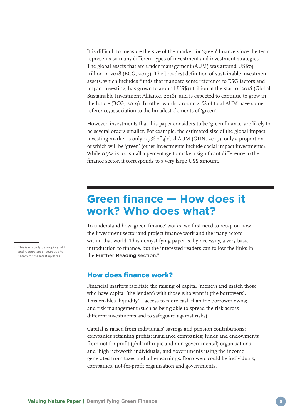It is difficult to measure the size of the market for 'green' finance since the term represents so many different types of investment and investment strategies. The global assets that are under management (AUM) was around US\$74 trillion in 2018 (BCG, 2019). The broadest definition of sustainable investment assets, which includes funds that mandate some reference to ESG factors and impact investing, has grown to around US\$31 trillion at the start of 2018 (Global Sustainable Investment Alliance, 2018), and is expected to continue to grow in the future (BCG, 2019). In other words, around 41% of total AUM have some reference/association to the broadest elements of 'green'.

However, investments that this paper considers to be 'green finance' are likely to be several orders smaller. For example, the estimated size of the global impact investing market is only 0.7% of global AUM (GIIN, 2019), only a proportion of which will be 'green' (other investments include social impact investments). While 0.7% is too small a percentage to make a significant difference to the finance sector, it corresponds to a very large US\$ amount.

# **Green finance — How does it work? Who does what?**

To understand how 'green finance' works, we first need to recap on how the investment sector and project finance work and the many actors within that world. This demystifying paper is, by necessity, a very basic introduction to finance, but the interested readers can follow the links in the Further Reading section.<sup>5</sup>

### How does finance work?

Financial markets facilitate the raising of capital (money) and match those who have capital (the lenders) with those who want it (the borrowers). This enables 'liquidity' – access to more cash than the borrower owns; and risk management (such as being able to spread the risk across different investments and to safeguard against risks).

Capital is raised from individuals' savings and pension contributions; companies retaining profits; insurance companies; funds and endowments from not-for-profit (philanthropic and non-governmental) organisations and 'high net-worth individuals', and governments using the income generated from taxes and other earnings. Borrowers could be individuals, companies, not-for-profit organisation and governments.

<sup>5</sup> This is a rapidly developing field, and readers are encouraged to search for the latest updates.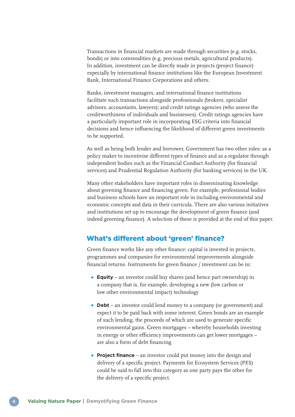Transactions in financial markets are made through securities (e.g. stocks, bonds) or into commodities (e.g. precious metals, agricultural products). In addition, investment can be directly made in projects (project finance) especially by international finance institutions like the European Investment Bank, International Finance Corporations and others.

Banks, investment managers, and international finance institutions facilitate such transactions alongside professionals (brokers, specialist advisors, accountants, lawyers); and credit ratings agencies (who assess the creditworthiness of individuals and businesses). Credit ratings agencies have a particularly important role in incorporating ESG criteria into financial decisions and hence influencing the likelihood of different green investments to be supported.

As well as being both lender and borrower, Government has two other roles: as a policy maker to incentivise different types of finance and as a regulator through independent bodies such as the Financial Conduct Authority (for financial services) and Prudential Regulation Authority (for banking services) in the UK.

Many other stakeholders have important roles in disseminating knowledge about greening finance and financing green. For example, professional bodies and business schools have an important role in including environmental and economic concepts and data in their curricula. There are also various initiatives and institutions set up to encourage the development of green finance (and indeed greening finance). A selection of these is provided at the end of this paper.

### What's different about 'green' finance?

Green finance works like any other finance: capital is invested in projects, programmes and companies for environmental improvements alongside financial returns. Instruments for green finance / investment can be in:

- **Equity** an investor could buy shares (and hence part ownership) in a company that is, for example, developing a new (low carbon or low other environmental impact) technology
- **Debt** an investor could lend money to a company (or government) and expect it to be paid back with some interest. Green bonds are an example of such lending, the proceeds of which are used to generate specific environmental gains. Green mortgages – whereby households investing in energy or other efficiency improvements can get lower mortgages – are also a form of debt financing
- **Project finance** an investor could put money into the design and delivery of a specific project. Payments for Ecosystem Services (PES) could be said to fall into this category as one party pays the other for the delivery of a specific project.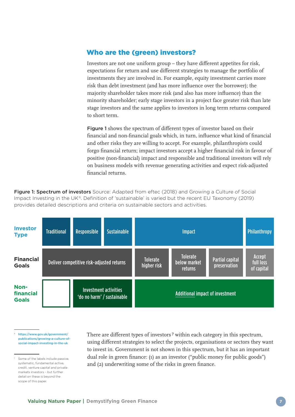### Who are the (green) investors?

Investors are not one uniform group – they have different appetites for risk, expectations for return and use different strategies to manage the portfolio of investments they are involved in. For example, equity investment carries more risk than debt investment (and has more influence over the borrower); the majority shareholder takes more risk (and also has more influence) than the minority shareholder; early stage investors in a project face greater risk than late stage investors and the same applies to investors in long term returns compared to short term.

Figure 1 shows the spectrum of different types of investor based on their financial and non-financial goals which, in turn, influence what kind of financial and other risks they are willing to accept. For example, philanthropists could forgo financial return; impact investors accept a higher financial risk in favour of positive (non-financial) impact and responsible and traditional investors will rely on business models with revenue generating activities and expect risk-adjusted financial returns.

Figure 1: Spectrum of investors Source: Adapted from eftec (2018) and Growing a Culture of Social Impact Investing in the UK<sup>6</sup>. Definition of 'sustainable' is varied but the recent EU Taxonomy (2019) provides detailed descriptions and criteria on sustainable sectors and activities.

| <b>Investor</b><br><b>Type</b>    | <b>Traditional</b>                        | <b>Responsible</b> | <b>Sustainable</b>                                  |                                            | <b>Impact</b>                          |                                   | <b>Philanthropy</b> |
|-----------------------------------|-------------------------------------------|--------------------|-----------------------------------------------------|--------------------------------------------|----------------------------------------|-----------------------------------|---------------------|
| <b>Financial</b><br><b>Goals</b>  | Deliver competitive risk-adjusted returns |                    | <b>Tolerate</b><br>higher risk                      | <b>Tolerate</b><br>below market<br>returns | <b>Partial capital</b><br>preservation | Accept<br>full loss<br>of capital |                     |
| Non-<br>financial<br><b>Goals</b> |                                           |                    | Investment activities<br>'do no harm' / sustainable |                                            | Additional impact of investment        |                                   |                     |

6 [https://www.gov.uk/government/](https://www.gov.uk/government/publications/growing-a-culture-of-social-impact-investing-in-the-uk) [publications/growing-a-culture-of](https://www.gov.uk/government/publications/growing-a-culture-of-social-impact-investing-in-the-uk)[social-impact-investing-in-the-uk](https://www.gov.uk/government/publications/growing-a-culture-of-social-impact-investing-in-the-uk)

7 Some of the labels include passive, systematic, fundamental active, credit, venture capital and private markets investors – but further detail on these is beyond the scope of this paper.

There are different types of investors 7 within each category in this spectrum, using different strategies to select the projects, organisations or sectors they want to invest in. Government is not shown in this spectrum, but it has an important dual role in green finance: (1) as an investor ("public money for public goods") and (2) underwriting some of the risks in green finance.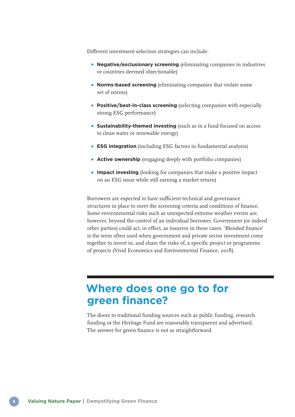Different investment selection strategies can include:

- **Negative/exclusionary screening** (eliminating companies in industries or countries deemed objectionable)
- **Norms-based screening** (eliminating companies that violate some set of norms)
- **Positive/best-in-class screening** (selecting companies with especially strong ESG performance)
- **Sustainability-themed investing** (such as in a fund focused on access to clean water or renewable energy)
- **ESG integration** (including ESG factors in fundamental analysis)
- **Active ownership** (engaging deeply with portfolio companies)
- **Impact investing** (looking for companies that make a positive impact on an ESG issue while still earning a market return)

Borrowers are expected to have sufficient technical and governance structures in place to meet the screening criteria and conditions of finance. Some environmental risks such as unexpected extreme weather events are, however, beyond the control of an individual borrower. Government (or indeed other parties) could act, in effect, as insurers in these cases. 'Blended finance' is the term often used when government and private sector investment come together to invest in, and share the risks of, a specific project or programme of projects (Vivid Economics and Environmental Finance, 2018).

## **Where does one go to for green finance?**

The doors to traditional funding sources such as public funding, research funding or the Heritage Fund are reasonably transparent and advertised. The answer for green finance is not as straightforward.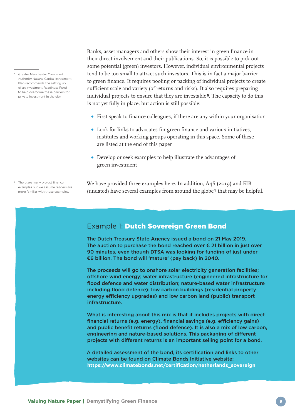Banks, asset managers and others show their interest in green finance in their direct involvement and their publications. So, it is possible to pick out some potential (green) investors. However, individual environmental projects tend to be too small to attract such investors. This is in fact a major barrier to green finance. It requires pooling or packing of individual projects to create sufficient scale and variety (of returns and risks). It also requires preparing individual projects to ensure that they are investable 8. The capacity to do this is not yet fully in place, but action is still possible:

- First speak to finance colleagues, if there are any within your organisation
- Look for links to advocates for green finance and various initiatives, institutes and working groups operating in this space. Some of these are listed at the end of this paper
- Develop or seek examples to help illustrate the advantages of green investment
- There are many project finance examples but we assume readers are more familiar with those examples.

We have provided three examples here. In addition, A4S (2019) and EIB (undated) have several examples from around the globe 9 that may be helpful.

### Example 1: Dutch Sovereign Green Bond

The Dutch Treasury State Agency issued a bond on 21 May 2019. The auction to purchase the bond reached over  $\epsilon$  21 billion in just over 90 minutes, even though DTSA was looking for funding of just under €6 billion. The bond will 'mature' (pay back) in 2040.

The proceeds will go to onshore solar electricity generation facilities; offshore wind energy; water infrastructure (engineered infrastructure for flood defence and water distribution; nature-based water infrastructure including flood defence); low carbon buildings (residential property energy efficiency upgrades) and low carbon land (public) transport infrastructure.

What is interesting about this mix is that it includes projects with direct financial returns (e.g. energy), financial savings (e.g. efficiency gains) and public benefit returns (flood defence). It is also a mix of low carbon, engineering and nature-based solutions. This packaging of different projects with different returns is an important selling point for a bond.

A detailed assessment of the bond, its certification and links to other websites can be found on Climate Bonds Initiative website: **[https://www.climatebonds.net/certification/netherlands\\_sovereign](https://www.climatebonds.net/certification/netherlands_sovereign)**

<sup>8</sup> Greater Manchester Combined Authority Natural Capital Investment Plan recommends the setting up of an Investment Readiness Fund to help overcome these barriers for private investment in the city.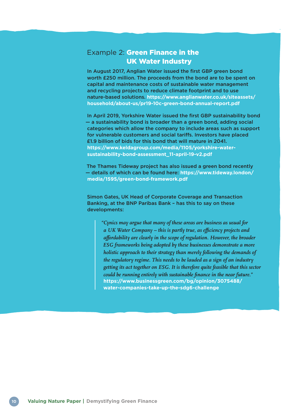### **Example 2: Green Finance in the** UK Water Industry

In August 2017, Anglian Water issued the first GBP green bond worth £250 million. The proceeds from the bond are to be spent on capital and maintenance costs of sustainable water management and recycling projects to reduce climate footprint and to use nature-based solutions. **[https://www.anglianwater.co.uk/siteassets/](https://www.anglianwater.co.uk/siteassets/household/about-us/pr19-10c-green-bond-annual-report.pdf) [household/about-us/pr19-10c-green-bond-annual-report.pdf](https://www.anglianwater.co.uk/siteassets/household/about-us/pr19-10c-green-bond-annual-report.pdf)**

In April 2019, Yorkshire Water issued the first GBP sustainability bond — a sustainability bond is broader than a green bond, adding social categories which allow the company to include areas such as support for vulnerable customers and social tariffs. Investors have placed £1.9 billion of bids for this bond that will mature in 2041. **[https://www.keldagroup.com/media/1105/yorkshire-water](https://www.keldagroup.com/media/1105/yorkshire-water-sustainability-bond-assessment_11-april-19-v2.pdf)[sustainability-bond-assessment\\_11-april-19-v2.pdf](https://www.keldagroup.com/media/1105/yorkshire-water-sustainability-bond-assessment_11-april-19-v2.pdf)**

The Thames Tideway project has also issued a green bond recently — details of which can be found here: **[https://www.tideway.london/](https://www.tideway.london/media/1595/green-bond-framework.pdf) [media/1595/green-bond-framework.pdf](https://www.tideway.london/media/1595/green-bond-framework.pdf)**

Simon Gates, UK Head of Corporate Coverage and Transaction Banking, at the BNP Paribas Bank – has this to say on these developments:

 *"Cynics may argue that many of these areas are business as usual for a UK Water Company – this is partly true, as efficiency projects and affordability are clearly in the scope of regulation. However, the broader ESG frameworks being adopted by these businesses demonstrate a more holistic approach to their strategy than merely following the demands of the regulatory regime. This needs to be lauded as a sign of an industry getting its act together on ESG. It is therefore quite feasible that this sector could be running entirely with sustainable finance in the near future."*  **[https://www.businessgreen.com/bg/opinion/3075488/](https://www.businessgreen.com/bg/opinion/3075488/water-companies-take-up-the-sdg6-challengewater-companies-take-up-the-sdg6-challenge) [water-companies-take-up-the-sdg6-challenge](https://www.businessgreen.com/bg/opinion/3075488/water-companies-take-up-the-sdg6-challengewater-companies-take-up-the-sdg6-challenge)**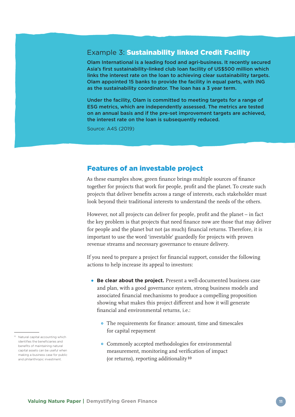### Example 3: Sustainability linked Credit Facility

Olam International is a leading food and agri-business. It recently secured Asia's first sustainability-linked club loan facility of US\$500 million which links the interest rate on the loan to achieving clear sustainability targets. Olam appointed 15 banks to provide the facility in equal parts, with ING as the sustainability coordinator. The loan has a 3 year term.

Under the facility, Olam is committed to meeting targets for a range of ESG metrics, which are independently assessed. The metrics are tested on an annual basis and if the pre-set improvement targets are achieved, the interest rate on the loan is subsequently reduced.

Source: A4S (2019)

#### Features of an investable project

As these examples show, green finance brings multiple sources of finance together for projects that work for people, profit and the planet. To create such projects that deliver benefits across a range of interests, each stakeholder must look beyond their traditional interests to understand the needs of the others.

However, not all projects can deliver for people, profit and the planet – in fact the key problem is that projects that need finance now are those that may deliver for people and the planet but not (as much) financial returns. Therefore, it is important to use the word 'investable' guardedly for projects with proven revenue streams and necessary governance to ensure delivery.

If you need to prepare a project for financial support, consider the following actions to help increase its appeal to investors:

- **Be clear about the project.** Present a well-documented business case and plan, with a good governance system, strong business models and associated financial mechanisms to produce a compelling proposition showing what makes this project different and how it will generate financial and environmental returns, i.e.:
	- The requirements for finance: amount, time and timescales for capital repayment
	- Commonly accepted methodologies for environmental measurement, monitoring and verification of impact (or returns), reporting additionality 10

<sup>10</sup> Natural capital accounting which identifies the beneficiaries and benefits of maintaining natural capital assets can be useful when making a business case for public and philanthropic investment.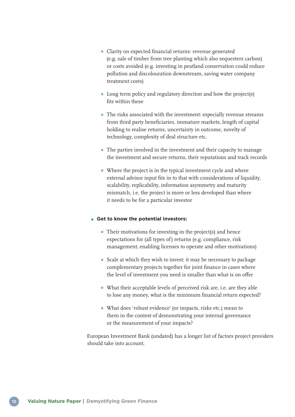- Clarity on expected financial returns: revenue generated (e.g. sale of timber from tree planting which also sequesters carbon) or costs avoided (e.g. investing in peatland conservation could reduce pollution and discolouration downstream, saving water company treatment costs)
- Long term policy and regulatory direction and how the project(s) fits within these
- The risks associated with the investment: especially revenue streams from third party beneficiaries, immature markets, length of capital holding to realise returns, uncertainty in outcome, novelty of technology, complexity of deal structure etc.
- The parties involved in the investment and their capacity to manage the investment and secure returns, their reputations and track records
- Where the project is in the typical investment cycle and where external advisor input fits in to that with considerations of liquidity, scalability, replicability, information asymmetry and maturity mismatch, i.e. the project is more or less developed than where it needs to be for a particular investor

#### **Get to know the potential investors:**

- Their motivations for investing in the project(s) and hence expectations for (all types of) returns (e.g. compliance, risk management, enabling licenses to operate and other motivations)
- Scale at which they wish to invest: it may be necessary to package complementary projects together for joint finance in cases where the level of investment you need is smaller than what is on offer
- What their acceptable levels of perceived risk are, i.e. are they able to lose any money, what is the minimum financial return expected?
- What does 'robust evidence' (or impacts, risks etc.) mean to them in the context of demonstrating your internal governance or the measurement of your impacts?

European Investment Bank (undated) has a longer list of factors project providers should take into account.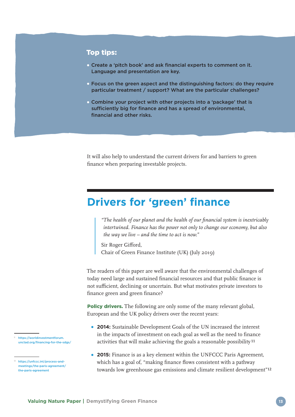#### Top tips:

- Create a 'pitch book' and ask financial experts to comment on it. Language and presentation are key.
- Focus on the green aspect and the distinguishing factors: do they require particular treatment / support? What are the particular challenges?
- Combine your project with other projects into a 'package' that is sufficiently big for finance and has a spread of environmental, financial and other risks.

It will also help to understand the current drivers for and barriers to green finance when preparing investable projects.

# **Drivers for 'green' finance**

 *"The health of our planet and the health of our financial system is inextricably intertwined. Finance has the power not only to change our economy, but also the way we live – and the time to act is now."*

 Sir Roger Gifford, Chair of Green Finance Institute (UK) (July 2019)

The readers of this paper are well aware that the environmental challenges of today need large and sustained financial resources and that public finance is not sufficient, declining or uncertain. But what motivates private investors to finance green and green finance?

**Policy drivers.** The following are only some of the many relevant global, European and the UK policy drivers over the recent years:

- **2014:** Sustainable Development Goals of the UN increased the interest in the impacts of investment on each goal as well as the need to finance activities that will make achieving the goals a reasonable possibility 11
- **2015:** Finance is as a key element within the UNFCCC Paris Agreement, which has a goal of, "making finance flows consistent with a pathway towards low greenhouse gas emissions and climate resilient development"12

[https://worldinvestmentforum.](https://worldinvestmentforum.unctad.org/financing-for-the-sdgs/) [unctad.org/financing-for-the-sdgs/](https://worldinvestmentforum.unctad.org/financing-for-the-sdgs/)

<sup>12</sup> [https://unfccc.int/process-and](https://unfccc.int/process-and-meetings/the-paris-agreement/the-paris-agreement)[meetings/the-paris-agreement/](https://unfccc.int/process-and-meetings/the-paris-agreement/the-paris-agreement) [the-paris-agreement](https://unfccc.int/process-and-meetings/the-paris-agreement/the-paris-agreement)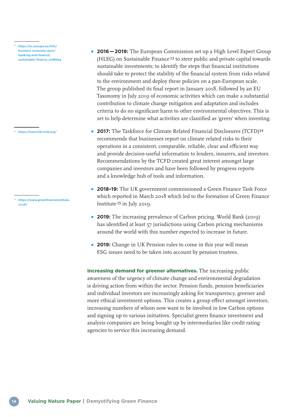<sup>13</sup> [https://ec.europa.eu/info/](https://ec.europa.eu/info/business-economy-euro/banking-and-finance/sustainable-finance_en#hleg) [business-economy-euro/](https://ec.europa.eu/info/business-economy-euro/banking-and-finance/sustainable-finance_en#hleg) [banking-and-finance/](https://ec.europa.eu/info/business-economy-euro/banking-and-finance/sustainable-finance_en#hleg) [sustainable-finance\\_en#hleg](https://ec.europa.eu/info/business-economy-euro/banking-and-finance/sustainable-finance_en#hleg)

<sup>14</sup> <https://www.fsb-tcfd.org/>

15 [https://www.greenfinanceinstitute.](https://www.greenfinanceinstitute.co.uk) [co.uk/](https://www.greenfinanceinstitute.co.uk)

- **2016—2019:** The European Commission set up a High Level Expert Group (HLEG) on Sustainable Finance 13 to steer public and private capital towards sustainable investments; to identify the steps that financial institutions should take to protect the stability of the financial system from risks related to the environment and deploy these policies on a pan-European scale. The group published its final report in January 2018, followed by an EU Taxonomy in July 2019 of economic activities which can make a substantial contribution to climate change mitigation and adaptation and includes criteria to do no significant harm to other environmental objectives. This is set to help determine what activities are classified as 'green' when investing.
- **2017:** The Taskforce for Climate Related Financial Disclosures (TCFD)14 recommends that businesses report on climate related risks to their operations in a consistent, comparable, reliable, clear and efficient way and provide decision-useful information to lenders, insurers, and investors. Recommendations by the TCFD created great interest amongst large companies and investors and have been followed by progress reports and a knowledge hub of tools and information.
- **2018–19:** The UK government commissioned a Green Finance Task Force which reported in March 2018 which led to the formation of Green Finance Institute 15 in July 2019.
- **2019:** The increasing prevalence of Carbon pricing. World Bank (2019) has identified at least 57 jurisdictions using Carbon pricing mechanisms around the world with this number expected to increase in future.
- **2019:** Change in UK Pension rules to come in this year will mean ESG issues need to be taken into account by pension trustees.

Increasing demand for greener alternatives. The increasing public awareness of the urgency of climate change and environmental degradation is driving action from within the sector. Pension funds, pension beneficiaries and individual investors are increasingly asking for transparency, greener and more ethical investment options. This creates a group effect amongst investors, increasing numbers of whom now want to be involved in low Carbon options and signing up to various initiatives. Specialist green finance investment and analysis companies are being bought up by intermediaries like credit rating agencies to service this increasing demand.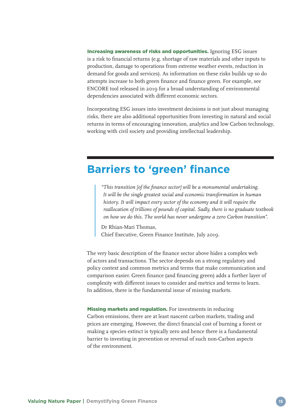Increasing awareness of risks and opportunities. Ignoring ESG issues is a risk to financial returns (e.g. shortage of raw materials and other inputs to production, damage to operations from extreme weather events, reduction in demand for goods and services). As information on these risks builds up so do attempts increase to both green finance and finance green. For example, see ENCORE tool released in 2019 for a broad understanding of environmental dependencies associated with different economic sectors.

Incorporating ESG issues into investment decisions is not just about managing risks, there are also additional opportunities from investing in natural and social returns in terms of encouraging innovation, analytics and low Carbon technology, working with civil society and providing intellectual leadership.

### **Barriers to 'green' finance**

 *"This transition [of the finance sector] will be a monumental undertaking. It will be the single greatest social and economic transformation in human history. It will impact every sector of the economy and it will require the reallocation of trillions of pounds of capital. Sadly, there is no graduate textbook on how we do this. The world has never undergone a zero Carbon transition".*

 Dr Rhian-Mari Thomas, Chief Executive, Green Finance Institute, July 2019.

The very basic description of the finance sector above hides a complex web of actors and transactions. The sector depends on a strong regulatory and policy context and common metrics and terms that make communication and comparison easier. Green finance (and financing green) adds a further layer of complexity with different issues to consider and metrics and terms to learn. In addition, there is the fundamental issue of missing markets.

Missing markets and regulation. For investments in reducing Carbon emissions, there are at least nascent carbon markets, trading and prices are emerging. However, the direct financial cost of burning a forest or making a species extinct is typically zero and hence there is a fundamental barrier to investing in prevention or reversal of such non-Carbon aspects of the environment.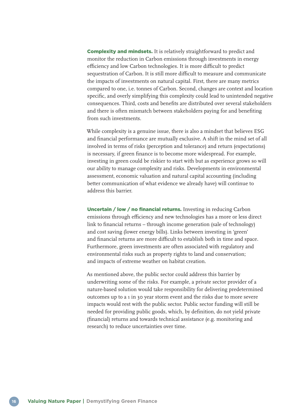Complexity and mindsets. It is relatively straightforward to predict and monitor the reduction in Carbon emissions through investments in energy efficiency and low Carbon technologies. It is more difficult to predict sequestration of Carbon. It is still more difficult to measure and communicate the impacts of investments on natural capital. First, there are many metrics compared to one, i.e. tonnes of Carbon. Second, changes are context and location specific, and overly simplifying this complexity could lead to unintended negative consequences. Third, costs and benefits are distributed over several stakeholders and there is often mismatch between stakeholders paying for and benefiting from such investments.

While complexity is a genuine issue, there is also a mindset that believes ESG and financial performance are mutually exclusive. A shift in the mind set of all involved in terms of risks (perception and tolerance) and return (expectations) is necessary, if green finance is to become more widespread. For example, investing in green could be riskier to start with but as experience grows so will our ability to manage complexity and risks. Developments in environmental assessment, economic valuation and natural capital accounting (including better communication of what evidence we already have) will continue to address this barrier.

Uncertain / low / no financial returns. Investing in reducing Carbon emissions through efficiency and new technologies has a more or less direct link to financial returns – through income generation (sale of technology) and cost saving (lower energy bills). Links between investing in 'green' and financial returns are more difficult to establish both in time and space. Furthermore, green investments are often associated with regulatory and environmental risks such as property rights to land and conservation; and impacts of extreme weather on habitat creation.

As mentioned above, the public sector could address this barrier by underwriting some of the risks. For example, a private sector provider of a nature-based solution would take responsibility for delivering predetermined outcomes up to a 1 in 30 year storm event and the risks due to more severe impacts would rest with the public sector. Public sector funding will still be needed for providing public goods, which, by definition, do not yield private (financial) returns and towards technical assistance (e.g. monitoring and research) to reduce uncertainties over time.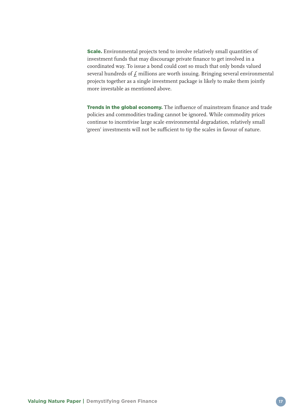Scale. Environmental projects tend to involve relatively small quantities of investment funds that may discourage private finance to get involved in a coordinated way. To issue a bond could cost so much that only bonds valued several hundreds of  $f$  millions are worth issuing. Bringing several environmental projects together as a single investment package is likely to make them jointly more investable as mentioned above.

Trends in the global economy. The influence of mainstream finance and trade policies and commodities trading cannot be ignored. While commodity prices continue to incentivise large scale environmental degradation, relatively small 'green' investments will not be sufficient to tip the scales in favour of nature.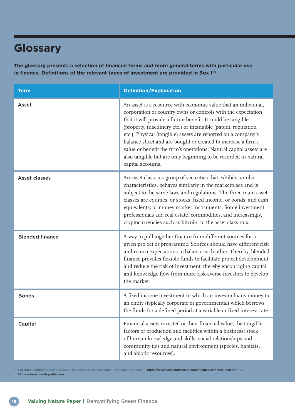# **Glossary**

**The glossary presents a selection of financial terms and more general terms with particular use in finance. Definitions of the relevant types of investment are provided in Box 1 16.**

| <b>Term</b>            | <b>Definition/Explanation</b>                                                                                                                                                                                                                                                                                                                                                                                                                                                                                                                               |
|------------------------|-------------------------------------------------------------------------------------------------------------------------------------------------------------------------------------------------------------------------------------------------------------------------------------------------------------------------------------------------------------------------------------------------------------------------------------------------------------------------------------------------------------------------------------------------------------|
| Asset                  | An asset is a resource with economic value that an individual,<br>corporation or country owns or controls with the expectation<br>that it will provide a future benefit. It could be tangible<br>(property, machinery etc.) or intangible (patent, reputation<br>etc.). Physical (tangible) assets are reported on a company's<br>balance sheet and are bought or created to increase a firm's<br>value or benefit the firm's operations. Natural capital assets are<br>also tangible but are only beginning to be recorded in natural<br>capital accounts. |
| <b>Asset classes</b>   | An asset class is a group of securities that exhibits similar<br>characteristics, behaves similarly in the marketplace and is<br>subject to the same laws and regulations. The three main asset<br>classes are equities, or stocks; fixed income, or bonds; and cash<br>equivalents, or money market instruments. Some investment<br>professionals add real estate, commodities, and increasingly,<br>cryptocurrencies such as bitcoin, to the asset class mix.                                                                                             |
| <b>Blended finance</b> | A way to pull together finance from different sources for a<br>given project or programme. Sources should have different risk<br>and return expectations to balance each other. Thereby, blended<br>finance provides flexible funds to facilitate project development<br>and reduce the risk of investment, thereby encouraging capital<br>and knowledge flow from more risk-averse investors to develop<br>the market.                                                                                                                                     |
| <b>Bonds</b>           | A fixed income investment in which an investor loans money to<br>an entity (typically corporate or governmental) which borrows<br>the funds for a defined period at a variable or fixed interest rate.                                                                                                                                                                                                                                                                                                                                                      |
| Capital                | Financial assets invested or their financial value; the tangible<br>factors of production and facilities within a business; stock<br>of human knowledge and skills; social relationships and<br>community ties and natural environment (species, habitats,<br>and abiotic resources).                                                                                                                                                                                                                                                                       |

<sup>16</sup> For more comprehensive glossaries, see IEMA (2018); Stockholm Sustainable Finance - <https://www.stockholmsustainablefinance.com/ssfc-lexicon/> and <https://www.investopedia.com>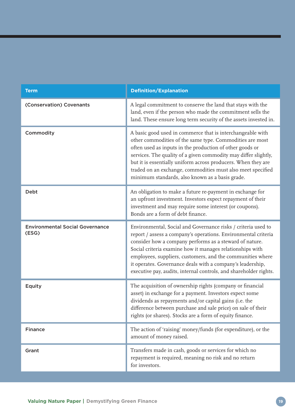| <b>Term</b>                                     | <b>Definition/Explanation</b>                                                                                                                                                                                                                                                                                                                                                                                                                            |
|-------------------------------------------------|----------------------------------------------------------------------------------------------------------------------------------------------------------------------------------------------------------------------------------------------------------------------------------------------------------------------------------------------------------------------------------------------------------------------------------------------------------|
| (Conservation) Covenants                        | A legal commitment to conserve the land that stays with the<br>land, even if the person who made the commitment sells the<br>land. These ensure long term security of the assets invested in.                                                                                                                                                                                                                                                            |
| Commodity                                       | A basic good used in commerce that is interchangeable with<br>other commodities of the same type. Commodities are most<br>often used as inputs in the production of other goods or<br>services. The quality of a given commodity may differ slightly,<br>but it is essentially uniform across producers. When they are<br>traded on an exchange, commodities must also meet specified<br>minimum standards, also known as a basis grade.                 |
| Debt                                            | An obligation to make a future re-payment in exchange for<br>an upfront investment. Investors expect repayment of their<br>investment and may require some interest (or coupons).<br>Bonds are a form of debt finance.                                                                                                                                                                                                                                   |
| <b>Environmental Social Governance</b><br>(ESG) | Environmental, Social and Governance risks / criteria used to<br>report / assess a company's operations. Environmental criteria<br>consider how a company performs as a steward of nature.<br>Social criteria examine how it manages relationships with<br>employees, suppliers, customers, and the communities where<br>it operates. Governance deals with a company's leadership,<br>executive pay, audits, internal controls, and shareholder rights. |
| Equity                                          | The acquisition of ownership rights (company or financial<br>asset) in exchange for a payment. Investors expect some<br>dividends as repayments and/or capital gains (i.e. the<br>difference between purchase and sale price) on sale of their<br>rights (or shares). Stocks are a form of equity finance.                                                                                                                                               |
| <b>Finance</b>                                  | The action of 'raising' money/funds (for expenditure), or the<br>amount of money raised.                                                                                                                                                                                                                                                                                                                                                                 |
| Grant                                           | Transfers made in cash, goods or services for which no<br>repayment is required, meaning no risk and no return<br>for investors.                                                                                                                                                                                                                                                                                                                         |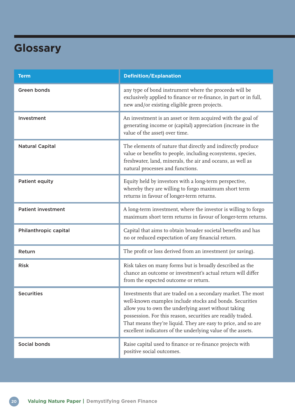# **Glossary**

| <b>Term</b>               | <b>Definition/Explanation</b>                                                                                                                                                                                                                                                                                                                                                  |
|---------------------------|--------------------------------------------------------------------------------------------------------------------------------------------------------------------------------------------------------------------------------------------------------------------------------------------------------------------------------------------------------------------------------|
| <b>Green bonds</b>        | any type of bond instrument where the proceeds will be<br>exclusively applied to finance or re-finance, in part or in full,<br>new and/or existing eligible green projects.                                                                                                                                                                                                    |
| Investment                | An investment is an asset or item acquired with the goal of<br>generating income or (capital) appreciation (increase in the<br>value of the asset) over time.                                                                                                                                                                                                                  |
| <b>Natural Capital</b>    | The elements of nature that directly and indirectly produce<br>value or benefits to people, including ecosystems, species,<br>freshwater, land, minerals, the air and oceans, as well as<br>natural processes and functions.                                                                                                                                                   |
| Patient equity            | Equity held by investors with a long-term perspective,<br>whereby they are willing to forgo maximum short term<br>returns in favour of longer-term returns.                                                                                                                                                                                                                    |
| <b>Patient investment</b> | A long-term investment, where the investor is willing to forgo<br>maximum short term returns in favour of longer-term returns.                                                                                                                                                                                                                                                 |
| Philanthropic capital     | Capital that aims to obtain broader societal benefits and has<br>no or reduced expectation of any financial return.                                                                                                                                                                                                                                                            |
| Return                    | The profit or loss derived from an investment (or saving).                                                                                                                                                                                                                                                                                                                     |
| <b>Risk</b>               | Risk takes on many forms but is broadly described as the<br>chance an outcome or investment's actual return will differ<br>from the expected outcome or return.                                                                                                                                                                                                                |
| <b>Securities</b>         | Investments that are traded on a secondary market. The most<br>well-known examples include stocks and bonds. Securities<br>allow you to own the underlying asset without taking<br>possession. For this reason, securities are readily traded.<br>That means they're liquid. They are easy to price, and so are<br>excellent indicators of the underlying value of the assets. |
| <b>Social bonds</b>       | Raise capital used to finance or re-finance projects with<br>positive social outcomes.                                                                                                                                                                                                                                                                                         |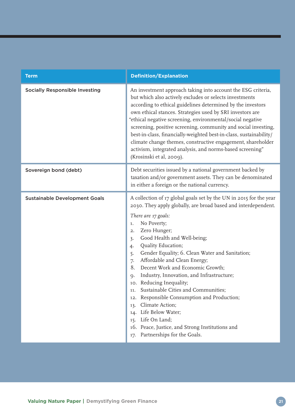| <b>Term</b>                           | <b>Definition/Explanation</b>                                                                                                                                                                                                                                                                                                                                                                                                                                                                                                                                                                                                                                                                                                                                       |  |
|---------------------------------------|---------------------------------------------------------------------------------------------------------------------------------------------------------------------------------------------------------------------------------------------------------------------------------------------------------------------------------------------------------------------------------------------------------------------------------------------------------------------------------------------------------------------------------------------------------------------------------------------------------------------------------------------------------------------------------------------------------------------------------------------------------------------|--|
| <b>Socially Responsible Investing</b> | An investment approach taking into account the ESG criteria,<br>but which also actively excludes or selects investments<br>according to ethical guidelines determined by the investors<br>own ethical stances. Strategies used by SRI investors are<br>"ethical negative screening, environmental/social negative<br>screening, positive screening, community and social investing,<br>best-in-class, financially-weighted best-in-class, sustainability/<br>climate change themes, constructive engagement, shareholder<br>activism, integrated analysis, and norms-based screening"<br>(Krosinski et al, 2009).                                                                                                                                                   |  |
| Sovereign bond (debt)                 | Debt securities issued by a national government backed by<br>taxation and/or government assets. They can be denominated<br>in either a foreign or the national currency.                                                                                                                                                                                                                                                                                                                                                                                                                                                                                                                                                                                            |  |
| <b>Sustainable Development Goals</b>  | A collection of 17 global goals set by the UN in 2015 for the year<br>2030. They apply globally, are broad based and interdependent.<br>There are 17 goals:<br>No Poverty;<br>1.<br>Zero Hunger;<br>2.<br>Good Health and Well-being;<br>3.<br>Quality Education;<br>4.<br>Gender Equality; 6. Clean Water and Sanitation;<br>5.<br>Affordable and Clean Energy;<br>7.<br>Decent Work and Economic Growth;<br>8.<br>Industry, Innovation, and Infrastructure;<br>$Q$ .<br>10. Reducing Inequality;<br>Sustainable Cities and Communities;<br>11.<br>12. Responsible Consumption and Production;<br>Climate Action;<br>13.<br>Life Below Water;<br>14.<br>15. Life On Land;<br>16. Peace, Justice, and Strong Institutions and<br>Partnerships for the Goals.<br>17. |  |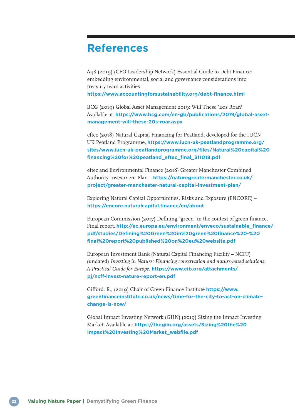### **References**

A4S (2019) (CFO Leadership Network) Essential Guide to Debt Finance: embedding environmental, social and governance considerations into treasury team activities

**<https://www.accountingforsustainability.org/debt-finance.html>**

BCG (2019) Global Asset Management 2019: Will These '20s Roar? Available at: **[https://www.bcg.com/en-gb/publications/2019/global-asset](https://www.bcg.com/en-gb/publications/2019/global-asset-management-will-these-20s-roar.aspx)[management-will-these-20s-roar.aspx](https://www.bcg.com/en-gb/publications/2019/global-asset-management-will-these-20s-roar.aspx)**

eftec (2018) Natural Capital Financing for Peatland, developed for the IUCN UK Peatland Programme, **[https://www.iucn-uk-peatlandprogramme.org/](https://www.iucn-uk-peatlandprogramme.org/sites/www.iucn-uk-peatlandprogramme.org/files/Natural%20capital%20financing%20for%20peatland_eftec_final_311018.pdf) [sites/www.iucn-uk-peatlandprogramme.org/files/Natural%20capital%20](https://www.iucn-uk-peatlandprogramme.org/sites/www.iucn-uk-peatlandprogramme.org/files/Natural%20capital%20financing%20for%20peatland_eftec_final_311018.pdf) [financing%20for%20peatland\\_eftec\\_final\\_311018.pdf](https://www.iucn-uk-peatlandprogramme.org/sites/www.iucn-uk-peatlandprogramme.org/files/Natural%20capital%20financing%20for%20peatland_eftec_final_311018.pdf)**

eftec and Environmental Finance (2018) Greater Manchester Combined Authority Investment Plan – **[https://naturegreatermanchester.co.uk/](https://naturegreatermanchester.co.uk/project/greater-manchester-natural-capital-investment-plan/) [project/greater-manchester-natural-capital-investment-plan/](https://naturegreatermanchester.co.uk/project/greater-manchester-natural-capital-investment-plan/)**

Exploring Natural Capital Opportunities, Risks and Exposure (ENCORE) – **<https://encore.naturalcapital.finance/en/about>**

European Commission (2017) Defining "green" in the context of green finance, Final report. **[http://ec.europa.eu/environment/enveco/sustainable\\_finance/](http://ec.europa.eu/environment/enveco/sustainable_finance/pdf/studies/Defining%20Green%20in%20green%20finance%20-%20final%20report%20published%20on%20eu%20website.pdf) [pdf/studies/Defining%20Green%20in%20green%20finance%20-%20](http://ec.europa.eu/environment/enveco/sustainable_finance/pdf/studies/Defining%20Green%20in%20green%20finance%20-%20final%20report%20published%20on%20eu%20website.pdf) [final%20report%20published%20on%20eu%20website.pdf](http://ec.europa.eu/environment/enveco/sustainable_finance/pdf/studies/Defining%20Green%20in%20green%20finance%20-%20final%20report%20published%20on%20eu%20website.pdf)**

European Investment Bank (Natural Capital Financing Facility – NCFF) (undated) *Investing in Nature: Financing conservation and nature-based solutions: A Practical Guide for Europe.* **[https://www.eib.org/attachments/](https://www.eib.org/attachments/pj/ncff-invest-nature-report-en.pdf) [pj/ncff-invest-nature-report-en.pdf](https://www.eib.org/attachments/pj/ncff-invest-nature-report-en.pdf)**

Gifford, R., (2019) Chair of Green Finance Institute **[https://www.](https://www.greenfinanceinstitute.co.uk/news/time-for-the-city-to-act-on-climate-change-is-now/) [greenfinanceinstitute.co.uk/news/time-for-the-city-to-act-on-climate](https://www.greenfinanceinstitute.co.uk/news/time-for-the-city-to-act-on-climate-change-is-now/)[change-is-now/](https://www.greenfinanceinstitute.co.uk/news/time-for-the-city-to-act-on-climate-change-is-now/)**

Global Impact Investing Network (GIIN) (2019) Sizing the Impact Investing Market. Available at: **[https://thegiin.org/assets/Sizing%20the%20](https://thegiin.org/assets/Sizing%20the%20Impact%20Investing%20Market_webfile.pdf) [Impact%20Investing%20Market\\_webfile.pdf](https://thegiin.org/assets/Sizing%20the%20Impact%20Investing%20Market_webfile.pdf)**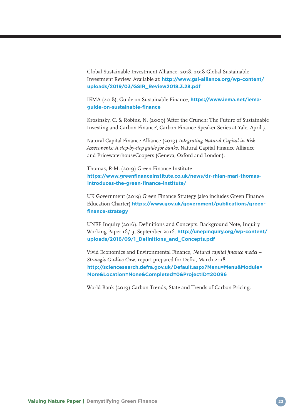Global Sustainable Investment Alliance, 2018. 2018 Global Sustainable Investment Review. Available at: **[http://www.gsi-alliance.org/wp-content/](http://www.gsi-alliance.org/wp-content/uploads/2019/03/GSIR_Review2018.3.28.pdf) [uploads/2019/03/GSIR\\_Review2018.3.28.pdf](http://www.gsi-alliance.org/wp-content/uploads/2019/03/GSIR_Review2018.3.28.pdf)**

IEMA (2018), Guide on Sustainable Finance, **[https://www.iema.net/iema](https://www.iema.net/iema-guide-on-sustainable-finance)[guide-on-sustainable-finance](https://www.iema.net/iema-guide-on-sustainable-finance)**

Krosinsky, C. & Robins, N. (2009) 'After the Crunch: The Future of Sustainable Investing and Carbon Finance', Carbon Finance Speaker Series at Yale, April 7.

Natural Capital Finance Alliance (2019) *Integrating Natural Capital in Risk Assessments: A step-by-step guide for banks,* Natural Capital Finance Alliance and PricewaterhouseCoopers (Geneva, Oxford and London).

Thomas, R-M. (2019) Green Finance Institute **[https://www.greenfinanceinstitute.co.uk/news/dr-rhian-mari-thomas](https://www.greenfinanceinstitute.co.uk/news/dr-rhian-mari-thomas-introduces-the-green-finance-institute/)[introduces-the-green-finance-institute/](https://www.greenfinanceinstitute.co.uk/news/dr-rhian-mari-thomas-introduces-the-green-finance-institute/)**

UK Government (2019) Green Finance Strategy (also includes Green Finance Education Charter) **[https://www.gov.uk/government/publications/green](https://www.gov.uk/government/publications/green-finance-strategy)[finance-strategy](https://www.gov.uk/government/publications/green-finance-strategy)**

UNEP Inquiry (2016). Definitions and Concepts. Background Note, Inquiry Working Paper 16/13, September 2016. **[http://unepinquiry.org/wp-content/](http://unepinquiry.org/wp-content/uploads/2016/09/1_Definitions_and_Concepts.pdf) [uploads/2016/09/1\\_Definitions\\_and\\_Concepts.pdf](http://unepinquiry.org/wp-content/uploads/2016/09/1_Definitions_and_Concepts.pdf)**

Vivid Economics and Environmental Finance, *Natural capital finance model – Strategic Outline Case,* report prepared for Defra, March 2018 – **[http://sciencesearch.defra.gov.uk/Default.aspx?Menu=Menu&Module=](http://sciencesearch.defra.gov.uk/Default.aspx?Menu=Menu&Module=More&Location=None&Completed=0&ProjectID=20096) [More&Location=None&Completed=0&ProjectID=20096](http://sciencesearch.defra.gov.uk/Default.aspx?Menu=Menu&Module=More&Location=None&Completed=0&ProjectID=20096)**

World Bank (2019) Carbon Trends, State and Trends of Carbon Pricing.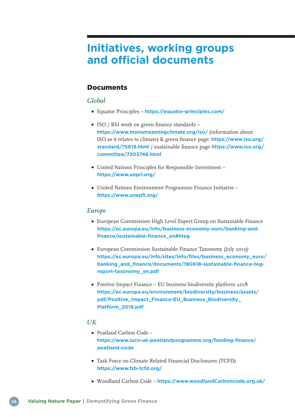# **Initiatives, working groups and official documents**

### **Documents**

### *Global*

- Equator Principles **<https://equator-principles.com/>**
- ISO / BSI work on green finance standards **<https://www.mainstreamingclimate.org/iso/>** (information about ISO as it relates to climate) & green finance page: **[https://www.iso.org/](https://www.iso.org/standard/75619.html) [standard/75619.html](https://www.iso.org/standard/75619.html)** / sustainable finance page **[https://www.iso.org/](https://www.iso.org/committee/7203746.html) [committee/7203746.html](https://www.iso.org/committee/7203746.html)**
- United Nations Principles for Responsible Investment **<https://www.unpri.org/>**
- United Nations Environment Programme Finance Initiative **<https://www.unepfi.org/>**

#### *Europe*

- European Commission High Level Expert Group on Sustainable Finance **[https://ec.europa.eu/info/business-economy-euro/banking-and](https://ec.europa.eu/info/business-economy-euro/banking-and-finance/sustainable-finance_en#hleg)[finance/sustainable-finance\\_en#hleg](https://ec.europa.eu/info/business-economy-euro/banking-and-finance/sustainable-finance_en#hleg)**
- European Commission Sustainable Finance Taxonomy (July 2019) **[https://ec.europa.eu/info/sites/info/files/business\\_economy\\_euro/](https://ec.europa.eu/info/sites/info/files/business_economy_euro/banking_and_finance/documents/190618-sustainable-finance-teg-report-taxonomy_en.pdf) [banking\\_and\\_finance/documents/190618-sustainable-finance-teg](https://ec.europa.eu/info/sites/info/files/business_economy_euro/banking_and_finance/documents/190618-sustainable-finance-teg-report-taxonomy_en.pdf)[report-taxonomy\\_en.pdf](https://ec.europa.eu/info/sites/info/files/business_economy_euro/banking_and_finance/documents/190618-sustainable-finance-teg-report-taxonomy_en.pdf)**
- Positive Impact Finance EU business biodiversity platform 2018 **[https://ec.europa.eu/environment/biodiversity/business/assets/](https://ec.europa.eu/environment/biodiversity/business/assets/pdf/Positive_Impact_Finance-EU_Business_Biodiversity_Platform_2018.pdf) [pdf/Positive\\_Impact\\_Finance-EU\\_Business\\_Biodiversity\\_](https://ec.europa.eu/environment/biodiversity/business/assets/pdf/Positive_Impact_Finance-EU_Business_Biodiversity_Platform_2018.pdf) [Platform\\_2018.pdf](https://ec.europa.eu/environment/biodiversity/business/assets/pdf/Positive_Impact_Finance-EU_Business_Biodiversity_Platform_2018.pdf)**

#### *UK*

- Peatland Carbon Code **[https://www.iucn-uk-peatlandprogramme.org/funding-finance/](https://www.iucn-uk-peatlandprogramme.org/funding-finance/peatland-code) [peatland-code](https://www.iucn-uk-peatlandprogramme.org/funding-finance/peatland-code)**
- Task Force on Climate Related Financial Disclosures (TCFD) **<https://www.fsb-tcfd.org/>**
- Woodland Carbon Code **<https://www.woodlandCarboncode.org.uk/>**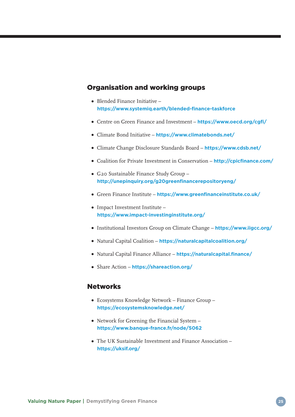### Organisation and working groups

- Blended Finance Initiative **<https://www.systemiq.earth/blended-finance-taskforce>**
- Centre on Green Finance and Investment **<https://www.oecd.org/cgfi/>**
- Climate Bond Initiative **<https://www.climatebonds.net/>**
- Climate Change Disclosure Standards Board **<https://www.cdsb.net/>**
- Coalition for Private Investment in Conservation **<http://cpicfinance.com/>**
- G20 Sustainable Finance Study Group **<http://unepinquiry.org/g20greenfinancerepositoryeng/>**
- Green Finance Institute **<https://www.greenfinanceinstitute.co.uk/>**
- Impact Investment Institute **<https://www.impact-investinginstitute.org/>**
- Institutional Investors Group on Climate Change **<https://www.iigcc.org/>**
- Natural Capital Coalition **<https://naturalcapitalcoalition.org/>**
- Natural Capital Finance Alliance **<https://naturalcapital.finance/>**
- Share Action **<https://shareaction.org/>**

### **Networks**

- Ecosystems Knowledge Network Finance Group **<https://ecosystemsknowledge.net/>**
- Network for Greening the Financial System **<https://www.banque-france.fr/node/5062>**
- The UK Sustainable Investment and Finance Association **<https://uksif.org/>**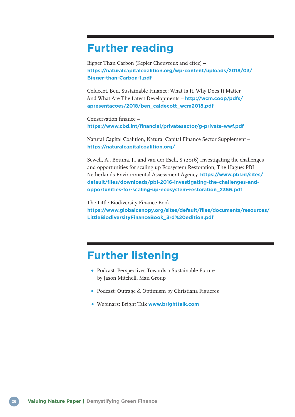# **Further reading**

Bigger Than Carbon (Kepler Cheuvreux and eftec) – **[https://naturalcapitalcoalition.org/wp-content/uploads/2018/03/](https://naturalcapitalcoalition.org/wp-content/uploads/2018/03/Bigger-than-Carbon-1.pdf) [Bigger-than-Carbon-1.pdf](https://naturalcapitalcoalition.org/wp-content/uploads/2018/03/Bigger-than-Carbon-1.pdf)**

Coldecot, Ben, Sustainable Finance: What Is It, Why Does It Matter, And What Are The Latest Developments – **[http://wcm.coop/pdfs/](http://wcm.coop/pdfs/apresentacoes/2018/ben_caldecott_wcm2018.pdf) [apresentacoes/2018/ben\\_caldecott\\_wcm2018.pdf](http://wcm.coop/pdfs/apresentacoes/2018/ben_caldecott_wcm2018.pdf)**

Conservation finance – **<https://www.cbd.int/financial/privatesector/g-private-wwf.pdf>**

Natural Capital Coalition, Natural Capital Finance Sector Supplement – **<https://naturalcapitalcoalition.org/>**

Sewell, A., Bouma, J., and van der Esch, S (2016) Investigating the challenges and opportunities for scaling up Ecosystem Restoration, The Hague: PBL Netherlands Environmental Assessment Agency. **[https://www.pbl.nl/sites/](https://www.pbl.nl/sites/default/files/downloads/pbl-2016-investigating-the-challenges-and-opportunities-for-scaling-up-ecosystem-restoration_2356.pdf) [default/files/downloads/pbl-2016-investigating-the-challenges-and](https://www.pbl.nl/sites/default/files/downloads/pbl-2016-investigating-the-challenges-and-opportunities-for-scaling-up-ecosystem-restoration_2356.pdf)[opportunities-for-scaling-up-ecosystem-restoration\\_2356.pdf](https://www.pbl.nl/sites/default/files/downloads/pbl-2016-investigating-the-challenges-and-opportunities-for-scaling-up-ecosystem-restoration_2356.pdf)**

The Little Biodiversity Finance Book – **[https://www.globalcanopy.org/sites/default/files/documents/resources/](https://www.globalcanopy.org/sites/default/files/documents/resources/LittleBiodiversityFinanceBook_3rd%20edition.pdf) [LittleBiodiversityFinanceBook\\_3rd%20edition.pdf](https://www.globalcanopy.org/sites/default/files/documents/resources/LittleBiodiversityFinanceBook_3rd%20edition.pdf)**

### **Further listening**

- Podcast: Perspectives Towards a Sustainable Future by Jason Mitchell, Man Group
- Podcast: Outrage & Optimism by Christiana Figueres
- Webinars: Bright Talk **[www.brighttalk.com](http://www.brighttalk.com)**